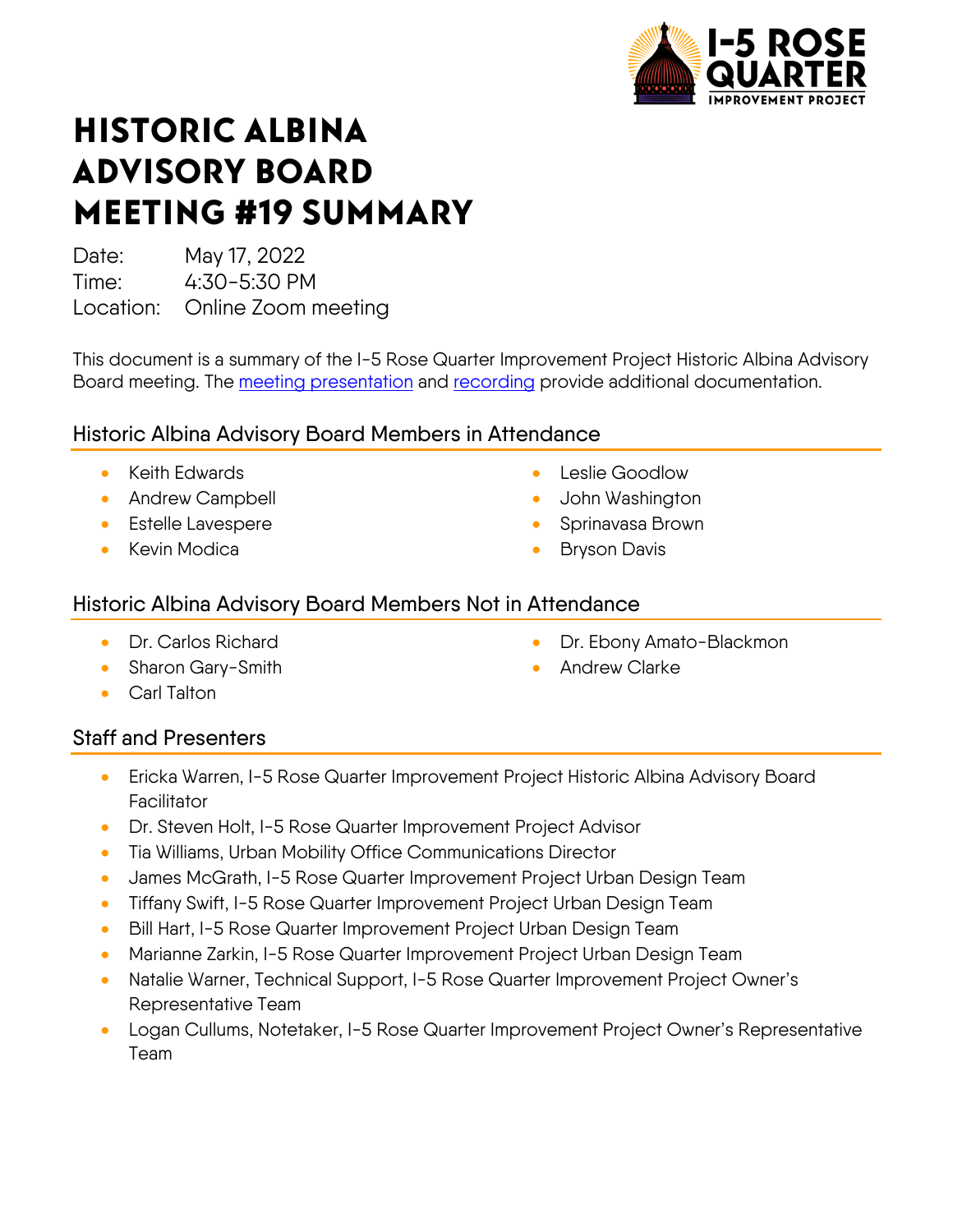

# HISTORIC ALBINA ADVISORY BOARD MEETING #19 SUMMARY

Date: May 17, 2022 Time: 4:30-5:30 PM

Location: Online Zoom meeting

This document is a summary of the I-5 Rose Quarter Improvement Project Historic Albina Advisory Board meeting. The [meeting presentation](https://i5rosequarter.org/pdfs/committee_documents/HAAB_Meeting-19_Slides_Final_remediated.pdf) and [recording](https://www.youtube.com/watch?v=_MOiD6GWA_0) provide additional documentation.

# Historic Albina Advisory Board Members in Attendance

- Keith Edwards
- Andrew Campbell
- Estelle Lavespere
- Kevin Modica
- Leslie Goodlow
- John Washington
- Sprinavasa Brown

**Andrew Clarke** 

• Dr. Ebony Amato-Blackmon

**Bryson Davis** 

#### Historic Albina Advisory Board Members Not in Attendance

- Dr. Carlos Richard
- Sharon Gary-Smith
- 
- Carl Talton

# Staff and Presenters

- Ericka Warren, I-5 Rose Quarter Improvement Project Historic Albina Advisory Board **Facilitator**
- Dr. Steven Holt, I-5 Rose Quarter Improvement Project Advisor
- Tia Williams, Urban Mobility Office Communications Director
- James McGrath, I-5 Rose Quarter Improvement Project Urban Design Team
- Tiffany Swift, I-5 Rose Quarter Improvement Project Urban Design Team
- Bill Hart, I-5 Rose Quarter Improvement Project Urban Design Team
- Marianne Zarkin, I-5 Rose Quarter Improvement Project Urban Design Team
- Natalie Warner, Technical Support, I-5 Rose Quarter Improvement Project Owner's Representative Team
- Logan Cullums, Notetaker, I-5 Rose Quarter Improvement Project Owner's Representative Team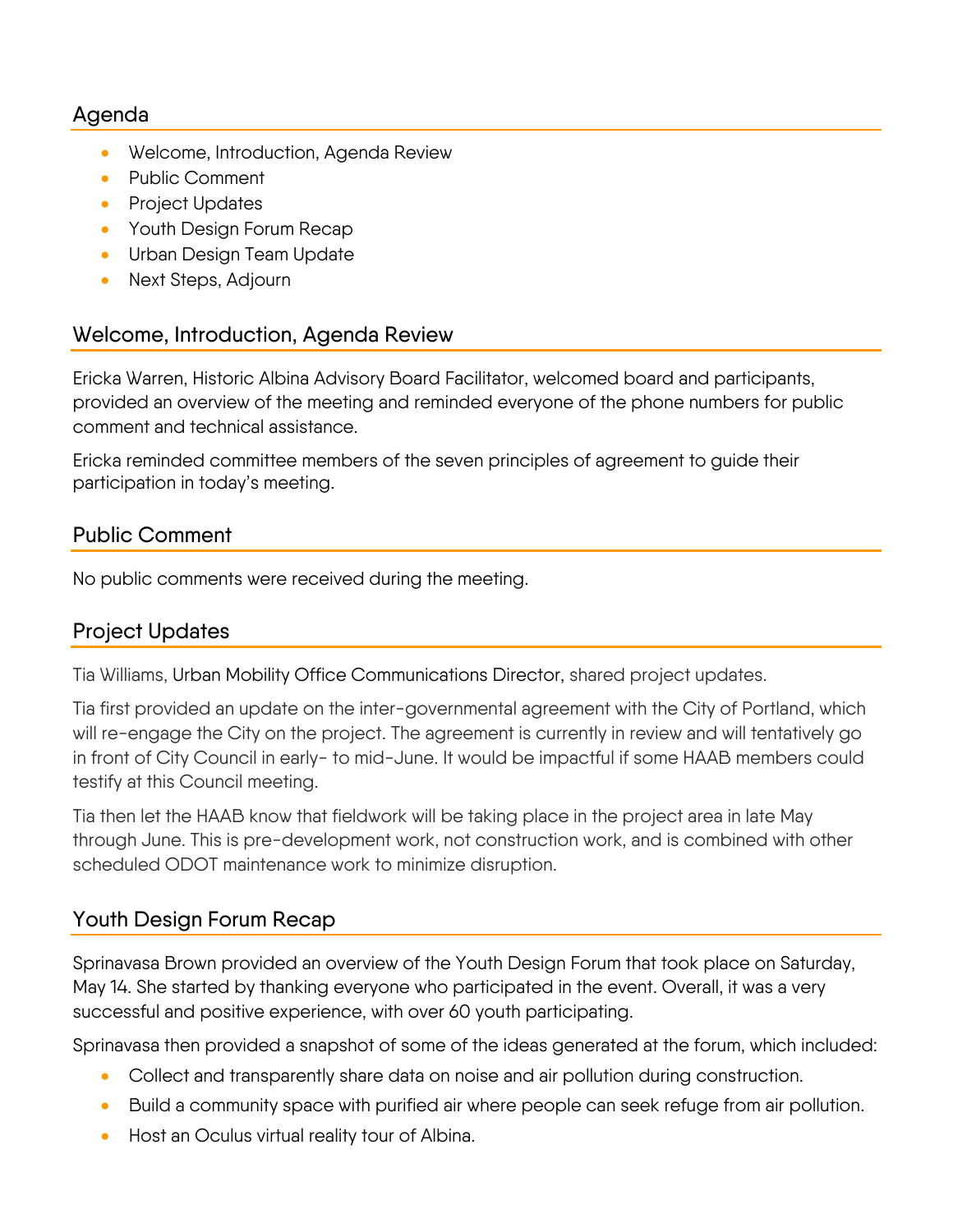#### Agenda

- Welcome, Introduction, Agenda Review
- Public Comment
- Project Updates
- Youth Design Forum Recap
- Urban Design Team Update
- Next Steps, Adjourn

#### Welcome, Introduction, Agenda Review

Ericka Warren, Historic Albina Advisory Board Facilitator, welcomed board and participants, provided an overview of the meeting and reminded everyone of the phone numbers for public comment and technical assistance.

Ericka reminded committee members of the seven principles of agreement to guide their participation in today's meeting.

# Public Comment

No public comments were received during the meeting.

# Project Updates

Tia Williams, Urban Mobility Office Communications Director, shared project updates.

Tia first provided an update on the inter-governmental agreement with the City of Portland, which will re-engage the City on the project. The agreement is currently in review and will tentatively go in front of City Council in early- to mid-June. It would be impactful if some HAAB members could testify at this Council meeting.

Tia then let the HAAB know that fieldwork will be taking place in the project area in late May through June. This is pre-development work, not construction work, and is combined with other scheduled ODOT maintenance work to minimize disruption.

# Youth Design Forum Recap

Sprinavasa Brown provided an overview of the Youth Design Forum that took place on Saturday, May 14. She started by thanking everyone who participated in the event. Overall, it was a very successful and positive experience, with over 60 youth participating.

Sprinavasa then provided a snapshot of some of the ideas generated at the forum, which included:

- Collect and transparently share data on noise and air pollution during construction.
- Build a community space with purified air where people can seek refuge from air pollution.
- Host an Oculus virtual reality tour of Albina.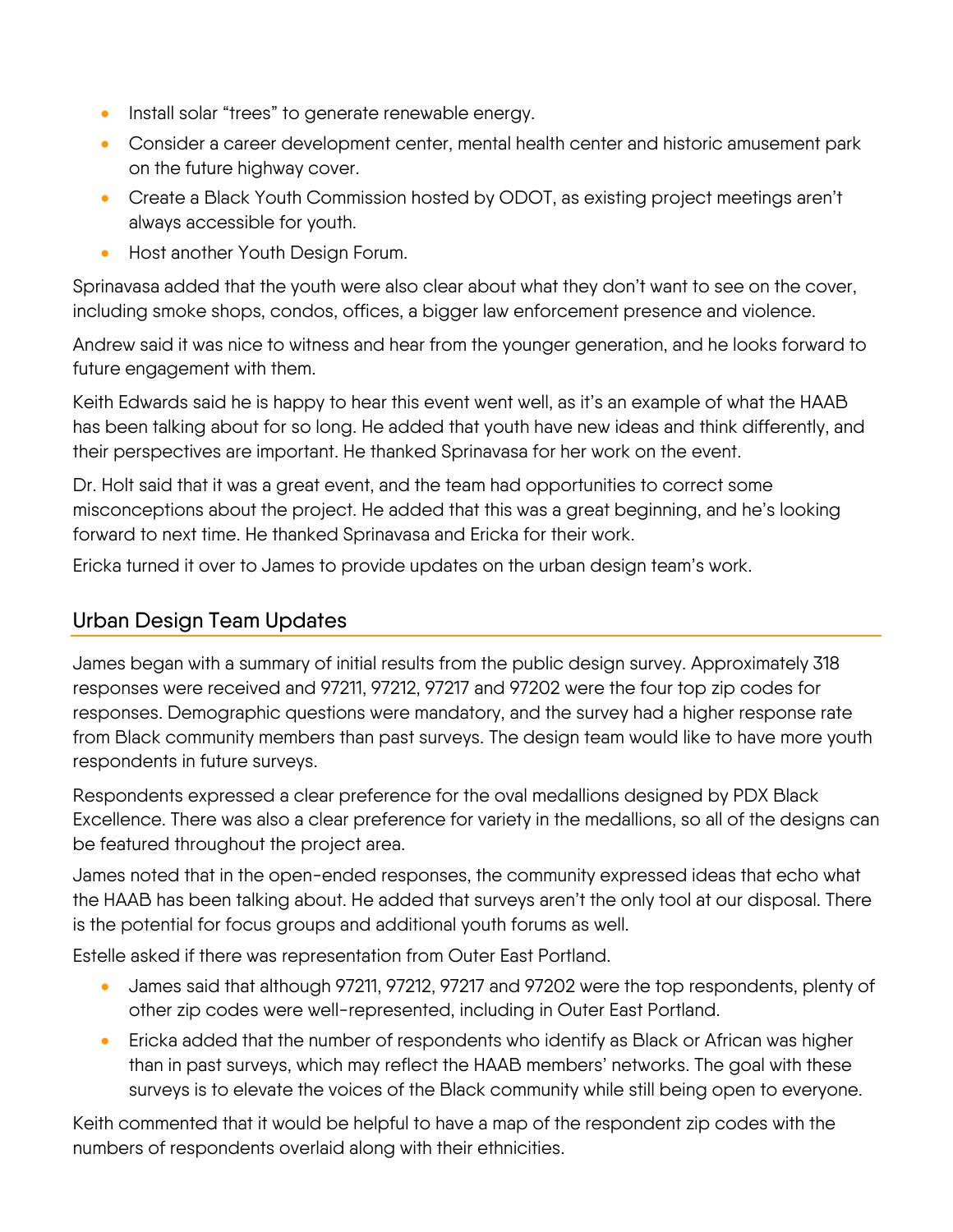- Install solar "trees" to generate renewable energy.
- Consider a career development center, mental health center and historic amusement park on the future highway cover.
- Create a Black Youth Commission hosted by ODOT, as existing project meetings aren't always accessible for youth.
- Host another Youth Design Forum.

Sprinavasa added that the youth were also clear about what they don't want to see on the cover, including smoke shops, condos, offices, a bigger law enforcement presence and violence.

Andrew said it was nice to witness and hear from the younger generation, and he looks forward to future engagement with them.

Keith Edwards said he is happy to hear this event went well, as it's an example of what the HAAB has been talking about for so long. He added that youth have new ideas and think differently, and their perspectives are important. He thanked Sprinavasa for her work on the event.

Dr. Holt said that it was a great event, and the team had opportunities to correct some misconceptions about the project. He added that this was a great beginning, and he's looking forward to next time. He thanked Sprinavasa and Ericka for their work.

Ericka turned it over to James to provide updates on the urban design team's work.

#### Urban Design Team Updates

James began with a summary of initial results from the public design survey. Approximately 318 responses were received and 97211, 97212, 97217 and 97202 were the four top zip codes for responses. Demographic questions were mandatory, and the survey had a higher response rate from Black community members than past surveys. The design team would like to have more youth respondents in future surveys.

Respondents expressed a clear preference for the oval medallions designed by PDX Black Excellence. There was also a clear preference for variety in the medallions, so all of the designs can be featured throughout the project area.

James noted that in the open-ended responses, the community expressed ideas that echo what the HAAB has been talking about. He added that surveys aren't the only tool at our disposal. There is the potential for focus groups and additional youth forums as well.

Estelle asked if there was representation from Outer East Portland.

- James said that although 97211, 97212, 97217 and 97202 were the top respondents, plenty of other zip codes were well-represented, including in Outer East Portland.
- Ericka added that the number of respondents who identify as Black or African was higher than in past surveys, which may reflect the HAAB members' networks. The goal with these surveys is to elevate the voices of the Black community while still being open to everyone.

Keith commented that it would be helpful to have a map of the respondent zip codes with the numbers of respondents overlaid along with their ethnicities.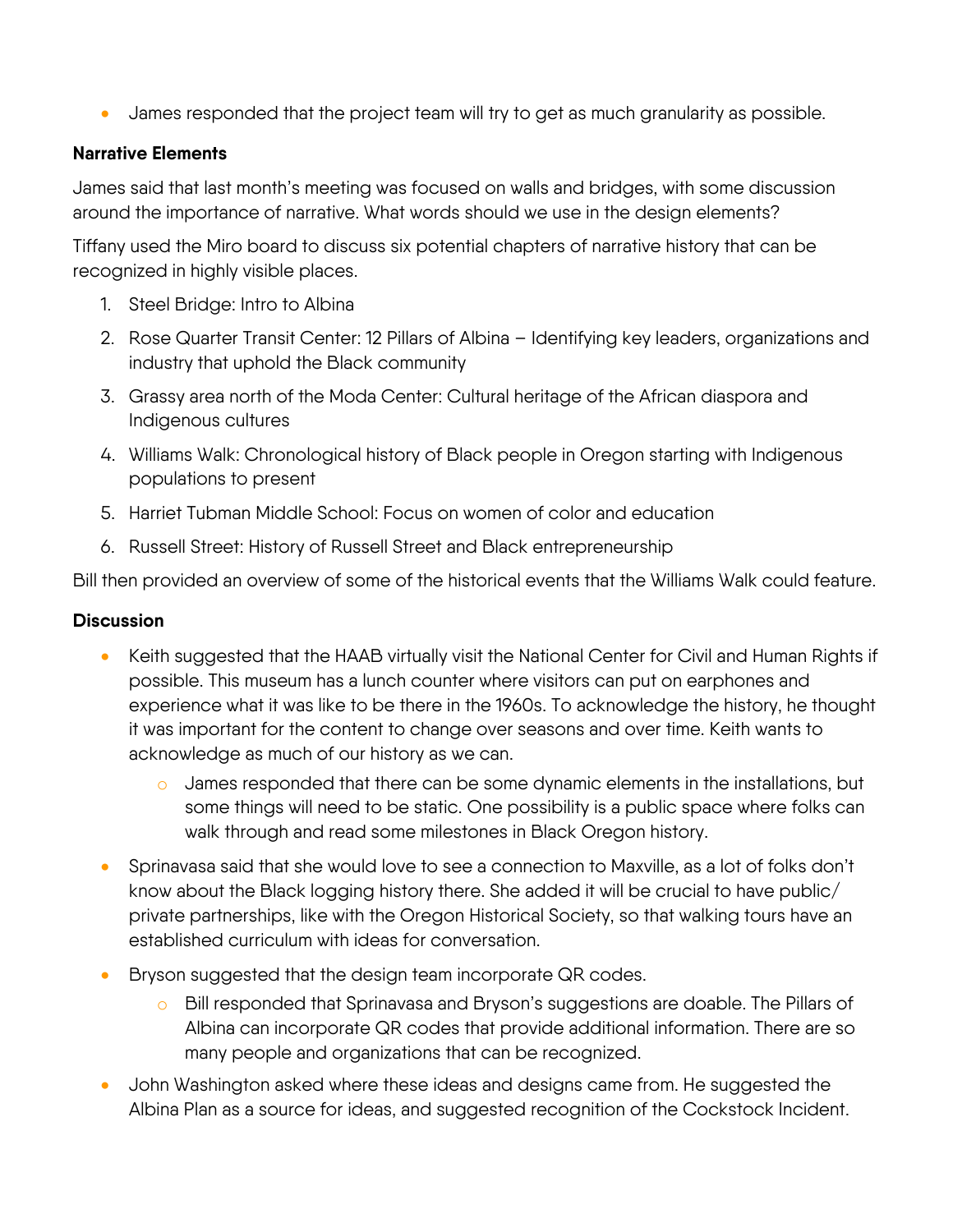• James responded that the project team will try to get as much granularity as possible.

#### **Narrative Elements**

James said that last month's meeting was focused on walls and bridges, with some discussion around the importance of narrative. What words should we use in the design elements?

Tiffany used the Miro board to discuss six potential chapters of narrative history that can be recognized in highly visible places.

- 1. Steel Bridge: Intro to Albina
- 2. Rose Quarter Transit Center: 12 Pillars of Albina Identifying key leaders, organizations and industry that uphold the Black community
- 3. Grassy area north of the Moda Center: Cultural heritage of the African diaspora and Indigenous cultures
- 4. Williams Walk: Chronological history of Black people in Oregon starting with Indigenous populations to present
- 5. Harriet Tubman Middle School: Focus on women of color and education
- 6. Russell Street: History of Russell Street and Black entrepreneurship

Bill then provided an overview of some of the historical events that the Williams Walk could feature.

#### **Discussion**

- Keith suggested that the HAAB virtually visit the National Center for Civil and Human Rights if possible. This museum has a lunch counter where visitors can put on earphones and experience what it was like to be there in the 1960s. To acknowledge the history, he thought it was important for the content to change over seasons and over time. Keith wants to acknowledge as much of our history as we can.
	- $\circ$  James responded that there can be some dynamic elements in the installations, but some things will need to be static. One possibility is a public space where folks can walk through and read some milestones in Black Oregon history.
- Sprinavasa said that she would love to see a connection to Maxville, as a lot of folks don't know about the Black logging history there. She added it will be crucial to have public/ private partnerships, like with the Oregon Historical Society, so that walking tours have an established curriculum with ideas for conversation.
- Bryson suggested that the design team incorporate QR codes.
	- o Bill responded that Sprinavasa and Bryson's suggestions are doable. The Pillars of Albina can incorporate QR codes that provide additional information. There are so many people and organizations that can be recognized.
- John Washington asked where these ideas and designs came from. He suggested the Albina Plan as a source for ideas, and suggested recognition of the Cockstock Incident.